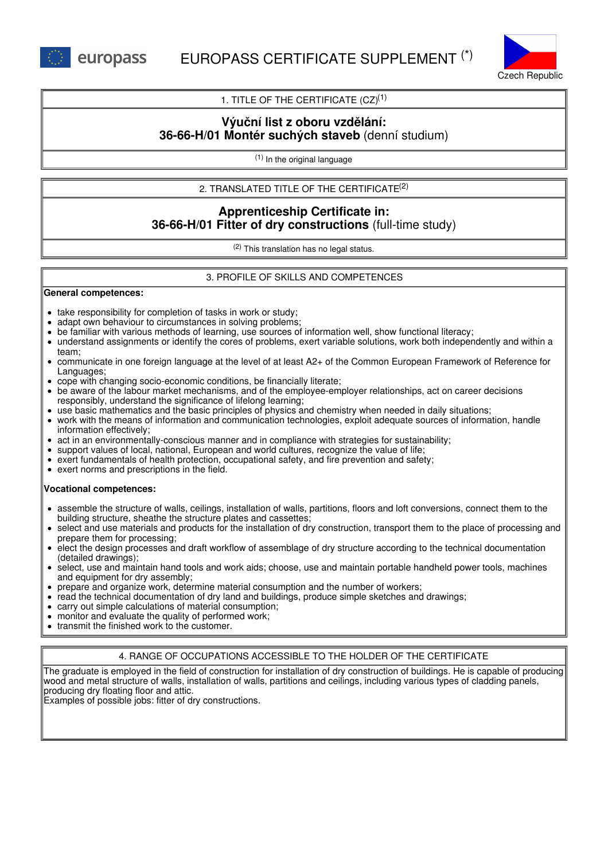



1. TITLE OF THE CERTIFICATE  $(CZ)^{(1)}$ 

# **Výuční list z oboru vzdělání: 36-66-H/01 Montér suchých staveb** (denní studium)

(1) In the original language

2. TRANSLATED TITLE OF THE CERTIFICATE (2)

# **Apprenticeship Certificate in: 36-66-H/01 Fitter of dry constructions** (full-time study)

(2) This translation has no legal status.

## 3. PROFILE OF SKILLS AND COMPETENCES

#### **General competences:**

- take responsibility for completion of tasks in work or study;
- adapt own behaviour to circumstances in solving problems;
- be familiar with various methods of learning, use sources of information well, show functional literacy;
- understand assignments or identify the cores of problems, exert variable solutions, work both independently and within a  $\bullet$ team;
- communicate in one foreign language at the level of at least A2+ of the Common European Framework of Reference for Languages;
- cope with changing socio-economic conditions, be financially literate;
- be aware of the labour market mechanisms, and of the employee-employer relationships, act on career decisions responsibly, understand the significance of lifelong learning;
- use basic mathematics and the basic principles of physics and chemistry when needed in daily situations;
- work with the means of information and communication technologies, exploit adequate sources of information, handle information effectively;
- act in an environmentally-conscious manner and in compliance with strategies for sustainability;
- support values of local, national, European and world cultures, recognize the value of life;
- exert fundamentals of health protection, occupational safety, and fire prevention and safety;
- exert norms and prescriptions in the field.

## **Vocational competences:**

- assemble the structure of walls, ceilings, installation of walls, partitions, floors and loft conversions, connect them to the building structure, sheathe the structure plates and cassettes;
- select and use materials and products for the installation of dry construction, transport them to the place of processing and prepare them for processing;
- elect the design processes and draft workflow of assemblage of dry structure according to the technical documentation (detailed drawings);
- select, use and maintain hand tools and work aids; choose, use and maintain portable handheld power tools, machines and equipment for dry assembly;
- prepare and organize work, determine material consumption and the number of workers;
- read the technical documentation of dry land and buildings, produce simple sketches and drawings;
- carry out simple calculations of material consumption;
- monitor and evaluate the quality of performed work;
- transmit the finished work to the customer.

## 4. RANGE OF OCCUPATIONS ACCESSIBLE TO THE HOLDER OF THE CERTIFICATE

The graduate is employed in the field of construction for installation of dry construction of buildings. He is capable of producing wood and metal structure of walls, installation of walls, partitions and ceilings, including various types of cladding panels, producing dry floating floor and attic.

Examples of possible jobs: fitter of dry constructions.